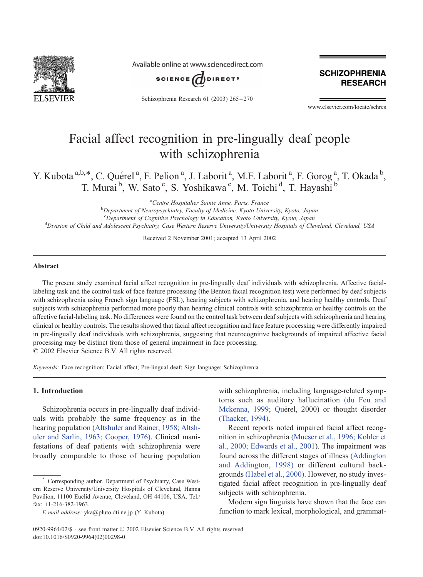

Available online at www.sciencedirect.com



Schizophrenia Research 61 (2003) 265 – 270

# **SCHIZOPHRENIA RESEARCH**

www.elsevier.com/locate/schres

# Facial affect recognition in pre-lingually deaf people with schizophrenia

Y. Kubota <sup>a,b,\*</sup>, C. Quérel<sup>a</sup>, F. Pelion<sup>a</sup>, J. Laborit<sup>a</sup>, M.F. Laborit<sup>a</sup>, F. Gorog<sup>a</sup>, T. Okada<sup>b</sup>, T. Murai<sup>b</sup>, W. Sato<sup>c</sup>, S. Yoshikawa<sup>c</sup>, M. Toichi<sup>d</sup>, T. Hayashi<sup>b</sup>

<sup>a</sup>Centre Hospitalier Sainte Anne, Paris, France<br><sup>b</sup>Department of Neuropsychiatry, Faculty of Medicine, Kyoto Univ <sup>b</sup>Department of Neuropsychiatry, Faculty of Medicine, Kyoto University, Kyoto, Japan <sup>c</sup>Department of Cognitive Psychology in Education, Kyoto University, Kyoto, Japan d Division of Child and Adolescent Psychiatry, Case Western Reserve University/University Hospitals of Cleveland, Cleveland, USA

Received 2 November 2001; accepted 13 April 2002

# Abstract

The present study examined facial affect recognition in pre-lingually deaf individuals with schizophrenia. Affective faciallabeling task and the control task of face feature processing (the Benton facial recognition test) were performed by deaf subjects with schizophrenia using French sign language (FSL), hearing subjects with schizophrenia, and hearing healthy controls. Deaf subjects with schizophrenia performed more poorly than hearing clinical controls with schizophrenia or healthy controls on the affective facial-labeling task. No differences were found on the control task between deaf subjects with schizophrenia and hearing clinical or healthy controls. The results showed that facial affect recognition and face feature processing were differently impaired in pre-lingually deaf individuals with schizophrenia, suggesting that neurocognitive backgrounds of impaired affective facial processing may be distinct from those of general impairment in face processing.  $\odot$  2002 Elsevier Science B.V. All rights reserved.

Keywords: Face recognition; Facial affect; Pre-lingual deaf; Sign language; Schizophrenia

# 1. Introduction

Schizophrenia occurs in pre-lingually deaf individuals with probably the same frequency as in the hearing population [\(Altshuler and Rainer, 1958; Altsh](#page-4-0)uler and Sarlin, 1963; Cooper, 1976). Clinical manifestations of deaf patients with schizophrenia were broadly comparable to those of hearing population

with schizophrenia, including language-related symptoms such as auditory hallucination [\(du Feu and](#page-4-0) Mckenna, 1999; Quérel, 2000) or thought disorder [\(Thacker, 1994\).](#page-5-0)

Recent reports noted impaired facial affect recognition in schizophrenia [\(Mueser et al., 1996; Kohler et](#page-5-0) al., 2000; Edwards et al., 2001). The impairment was found across the different stages of illness [\(Addington](#page-4-0) and Addington, 1998) or different cultural backgrounds [\(Habel et al., 2000\).](#page-4-0) However, no study investigated facial affect recognition in pre-lingually deaf subjects with schizophrenia.

Modern sign linguists have shown that the face can function to mark lexical, morphological, and grammat-

Corresponding author. Department of Psychiatry, Case Western Reserve University/University Hospitals of Cleveland, Hanna Pavilion, 11100 Euclid Avenue, Cleveland, OH 44106, USA. Tel./ fax: +1-216-382-1963.

E-mail address: yka@pluto.dti.ne.jp (Y. Kubota).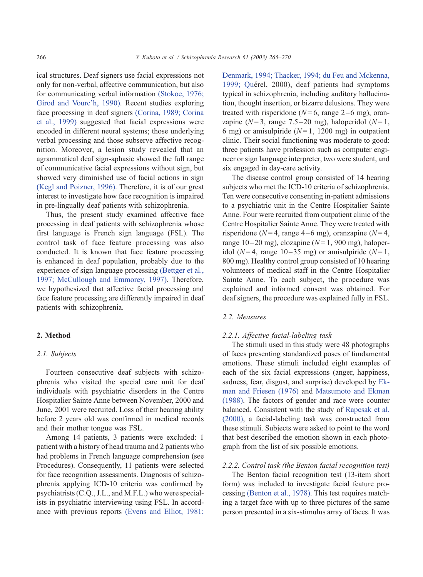ical structures. Deaf signers use facial expressions not only for non-verbal, affective communication, but also for communicating verbal information [\(Stokoe, 1976;](#page-5-0) Girod and Vourc'h, 1990). Recent studies exploring face processing in deaf signers [\(Corina, 1989; Corina](#page-4-0) et al., 1999) suggested that facial expressions were encoded in different neural systems; those underlying verbal processing and those subserve affective recognition. Moreover, a lesion study revealed that an agrammatical deaf sign-aphasic showed the full range of communicative facial expressions without sign, but showed very diminished use of facial actions in sign [\(Kegl and Poizner, 1996\).](#page-4-0) Therefore, it is of our great interest to investigate how face recognition is impaired in pre-lingually deaf patients with schizophrenia.

Thus, the present study examined affective face processing in deaf patients with schizophrenia whose first language is French sign language (FSL). The control task of face feature processing was also conducted. It is known that face feature processing is enhanced in deaf population, probably due to the experience of sign language processing [\(Bettger et al.,](#page-4-0) 1997; McCullough and Emmorey, 1997). Therefore, we hypothesized that affective facial processing and face feature processing are differently impaired in deaf patients with schizophrenia.

# 2. Method

# 2.1. Subjects

Fourteen consecutive deaf subjects with schizophrenia who visited the special care unit for deaf individuals with psychiatric disorders in the Centre Hospitalier Sainte Anne between November, 2000 and June, 2001 were recruited. Loss of their hearing ability before 2 years old was confirmed in medical records and their mother tongue was FSL.

Among 14 patients, 3 patients were excluded: 1 patient with a history of head trauma and 2 patients who had problems in French language comprehension (see Procedures). Consequently, 11 patients were selected for face recognition assessments. Diagnosis of schizophrenia applying ICD-10 criteria was confirmed by psychiatrists (C.Q., J.L., and M.F.L.) who were specialists in psychiatric interviewing using FSL. In accordance with previous reports [\(Evens and Elliot, 1981;](#page-4-0) Denmark, 1994; Thacker, 1994; du Feu and Mckenna, 1999; Quérel, 2000), deaf patients had symptoms typical in schizophrenia, including auditory hallucination, thought insertion, or bizarre delusions. They were treated with risperidone ( $N=6$ , range 2–6 mg), oranzapine ( $N=3$ , range 7.5–20 mg), haloperidol ( $N=1$ , 6 mg) or amisulpiride  $(N=1, 1200 \text{ mg})$  in outpatient clinic. Their social functioning was moderate to good: three patients have profession such as computer engineer or sign language interpreter, two were student, and six engaged in day-care activity.

The disease control group consisted of 14 hearing subjects who met the ICD-10 criteria of schizophrenia. Ten were consecutive consenting in-patient admissions to a psychiatric unit in the Centre Hospitalier Sainte Anne. Four were recruited from outpatient clinic of the Centre Hospitalier Sainte Anne. They were treated with risperidone ( $N=4$ , range 4–6 mg), oranzapine ( $N=4$ , range  $10-20$  mg), clozapine ( $N=1$ , 900 mg), haloperidol ( $N=4$ , range 10–35 mg) or amisulpiride ( $N=1$ , 800 mg). Healthy control group consisted of 10 hearing volunteers of medical staff in the Centre Hospitalier Sainte Anne. To each subject, the procedure was explained and informed consent was obtained. For deaf signers, the procedure was explained fully in FSL.

# 2.2. Measures

# 2.2.1. Affective facial-labeling task

The stimuli used in this study were 48 photographs of faces presenting standardized poses of fundamental emotions. These stimuli included eight examples of each of the six facial expressions (anger, happiness, sadness, fear, disgust, and surprise) developed by [Ek](#page-4-0)man and Friesen (1976) and [Matsumoto and Ekman](#page-4-0) (1988). The factors of gender and race were counter balanced. Consistent with the study of [Rapcsak et al.](#page-5-0) (2000), a facial-labeling task was constructed from these stimuli. Subjects were asked to point to the word that best described the emotion shown in each photograph from the list of six possible emotions.

# 2.2.2. Control task (the Benton facial recognition test)

The Benton facial recognition test (13-item short form) was included to investigate facial feature processing [\(Benton et al., 1978\).](#page-4-0) This test requires matching a target face with up to three pictures of the same person presented in a six-stimulus array of faces. It was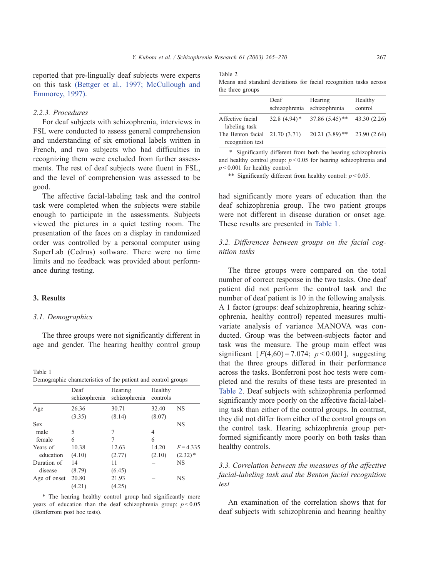Table 2

reported that pre-lingually deaf subjects were experts on this task [\(Bettger et al., 1997; McCullough and](#page-4-0) Emmorey, 1997).

#### 2.2.3. Procedures

For deaf subjects with schizophrenia, interviews in FSL were conducted to assess general comprehension and understanding of six emotional labels written in French, and two subjects who had difficulties in recognizing them were excluded from further assessments. The rest of deaf subjects were fluent in FSL, and the level of comprehension was assessed to be good.

The affective facial-labeling task and the control task were completed when the subjects were stabile enough to participate in the assessments. Subjects viewed the pictures in a quiet testing room. The presentation of the faces on a display in randomized order was controlled by a personal computer using SuperLab (Cedrus) software. There were no time limits and no feedback was provided about performance during testing.

### 3. Results

#### 3.1. Demographics

The three groups were not significantly different in age and gender. The hearing healthy control group

Table 1 Demographic characteristics of the patient and control groups

|              | Deaf<br>schizophrenia | Hearing<br>schizophrenia | Healthy<br>controls |             |
|--------------|-----------------------|--------------------------|---------------------|-------------|
| Age          | 26.36                 | 30.71                    | 32.40               | <b>NS</b>   |
|              | (3.35)                | (8.14)                   | (8.07)              |             |
| <b>Sex</b>   |                       |                          |                     | <b>NS</b>   |
| male         | 5                     | 7                        | 4                   |             |
| female       | 6                     | 7                        | 6                   |             |
| Years of     | 10.38                 | 12.63                    | 14.20               | $F = 4.335$ |
| education    | (4.10)                | (2.77)                   | (2.10)              | $(2.32)*$   |
| Duration of  | 14                    | 11                       |                     | <b>NS</b>   |
| disease      | (8.79)                | (6.45)                   |                     |             |
| Age of onset | 20.80                 | 21.93                    |                     | <b>NS</b>   |
|              | (4.21)                | (4.25)                   |                     |             |

\* The hearing healthy control group had significantly more years of education than the deaf schizophrenia group:  $p < 0.05$ (Bonferroni post hoc tests).

|                  |  |  | Means and standard deviations for facial recognition tasks across |  |
|------------------|--|--|-------------------------------------------------------------------|--|
| the three groups |  |  |                                                                   |  |

|                                       | Deaf<br>schizophrenia | Hearing<br>schizophrenia | Healthy<br>control |
|---------------------------------------|-----------------------|--------------------------|--------------------|
| Affective facial<br>labeling task     | $32.8(4.94)$ *        | $37.86(5.45)$ **         | 43.30 (2.26)       |
| The Benton facial<br>recognition test | 21.70 (3.71)          | $20.21(3.89)$ **         | 23.90 (2.64)       |

\* Significantly different from both the hearing schizophrenia and healthy control group:  $p < 0.05$  for hearing schizophrenia and  $p < 0.001$  for healthy control.

\*\* Significantly different from healthy control:  $p < 0.05$ .

had significantly more years of education than the deaf schizophrenia group. The two patient groups were not different in disease duration or onset age. These results are presented in Table 1.

# 3.2. Differences between groups on the facial cognition tasks

The three groups were compared on the total number of correct response in the two tasks. One deaf patient did not perform the control task and the number of deaf patient is 10 in the following analysis. A 1 factor (groups: deaf schizophrenia, hearing schizophrenia, healthy control) repeated measures multivariate analysis of variance MANOVA was conducted. Group was the between-subjects factor and task was the measure. The group main effect was significant  $[F(4,60) = 7.074; p < 0.001]$ , suggesting that the three groups differed in their performance across the tasks. Bonferroni post hoc tests were completed and the results of these tests are presented in Table 2. Deaf subjects with schizophrenia performed significantly more poorly on the affective facial-labeling task than either of the control groups. In contrast, they did not differ from either of the control groups on the control task. Hearing schizophrenia group performed significantly more poorly on both tasks than healthy controls.

# 3.3. Correlation between the measures of the affective facial-labeling task and the Benton facial recognition tost

An examination of the correlation shows that for deaf subjects with schizophrenia and hearing healthy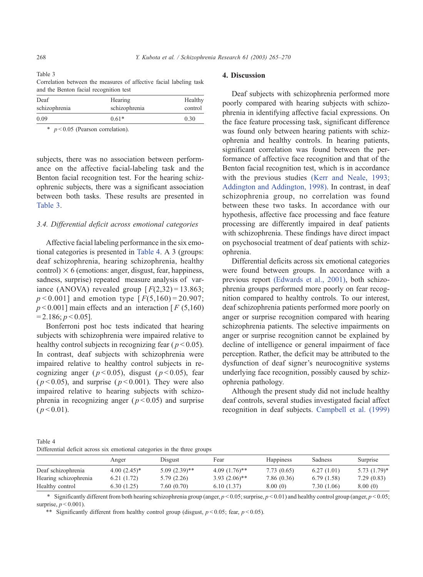Table 3 Correlation between the measures of affective facial labeling task and the Benton facial recognition test

| and the Benton needed recognition test |                          |                    |  |  |
|----------------------------------------|--------------------------|--------------------|--|--|
| Deaf<br>schizophrenia                  | Hearing<br>schizophrenia | Healthy<br>control |  |  |
| 0.09                                   | $0.61*$                  | 0.30               |  |  |

 $*$   $p < 0.05$  (Pearson correlation).

subjects, there was no association between performance on the affective facial-labeling task and the Benton facial recognition test. For the hearing schizophrenic subjects, there was a significant association between both tasks. These results are presented in Table 3.

# 3.4. Differential deficit across emotional categories

Affective facial labeling performance in the six emotional categories is presented in Table 4. A 3 (groups: deaf schizophrenia, hearing schizophrenia, healthy control)  $\times$  6 (emotions: anger, disgust, fear, happiness, sadness, surprise) repeated measure analysis of variance (ANOVA) revealed group  $\lceil F(2,32) = 13.863;$  $p < 0.001$ ] and emotion type  $[F(5,160) = 20.907;$  $p < 0.001$ ] main effects and an interaction [F (5,160)  $= 2.186$ ;  $p < 0.05$ ].

Bonferroni post hoc tests indicated that hearing subjects with schizophrenia were impaired relative to healthy control subjects in recognizing fear ( $p < 0.05$ ). In contrast, deaf subjects with schizophrenia were impaired relative to healthy control subjects in recognizing anger ( $p < 0.05$ ), disgust ( $p < 0.05$ ), fear  $(p<0.05)$ , and surprise  $(p<0.001)$ . They were also impaired relative to hearing subjects with schizophrenia in recognizing anger ( $p < 0.05$ ) and surprise  $(p < 0.01)$ .

# 4. Discussion

Deaf subjects with schizophrenia performed more poorly compared with hearing subjects with schizophrenia in identifying affective facial expressions. On the face feature processing task, significant difference was found only between hearing patients with schizophrenia and healthy controls. In hearing patients, significant correlation was found between the performance of affective face recognition and that of the Benton facial recognition test, which is in accordance with the previous studies [\(Kerr and Neale, 1993;](#page-4-0) Addington and Addington, 1998). In contrast, in deaf schizophrenia group, no correlation was found between these two tasks. In accordance with our hypothesis, affective face processing and face feature processing are differently impaired in deaf patients with schizophrenia. These findings have direct impact on psychosocial treatment of deaf patients with schizophrenia.

Differential deficits across six emotional categories were found between groups. In accordance with a previous report [\(Edwards et al., 2001\),](#page-4-0) both schizophrenia groups performed more poorly on fear recognition compared to healthy controls. To our interest, deaf schizophrenia patients performed more poorly on anger or surprise recognition compared with hearing schizophrenia patients. The selective impairments on anger or surprise recognition cannot be explained by decline of intelligence or general impairment of face perception. Rather, the deficit may be attributed to the dysfunction of deaf signer's neurocognitive systems underlying face recognition, possibly caused by schizophrenia pathology.

Although the present study did not include healthy deaf controls, several studies investigated facial affect recognition in deaf subjects. [Campbell et al. \(1999\)](#page-4-0)

Table 4 Differential deficit across six emotional categories in the three groups

| Dinerenan aenen aeross sin einsusian ealegories in die anee groups |                |                 |                 |                  |             |                |
|--------------------------------------------------------------------|----------------|-----------------|-----------------|------------------|-------------|----------------|
|                                                                    | Anger          | Disgust         | Fear            | <b>Happiness</b> | Sadness     | Surprise       |
| Deaf schizophrenia                                                 | $4.00(2.45)^*$ | $5.09(2.39)$ ** | $4.09(1.76)$ ** | 7.73(0.65)       | 6.27(1.01)  | $5.73(1.79)$ * |
| Hearing schizophrenia                                              | 6.21(1.72)     | 5.79(2.26)      | $3.93(2.06)$ ** | 7.86 (0.36)      | 6.79(1.58)  | 7.29(0.83)     |
| Healthy control                                                    | 6.30(1.25)     | 7.60(0.70)      | 6.10(1.37)      | 8.00(0)          | 7.30 (1.06) | 8.00(0)        |

\* Significantly different from both hearing schizophrenia group (anger,  $p < 0.05$ ; surprise,  $p < 0.01$ ) and healthy control group (anger,  $p < 0.05$ ; surprise,  $p < 0.001$ ).

\*\* Significantly different from healthy control group (disgust,  $p < 0.05$ ; fear,  $p < 0.05$ ).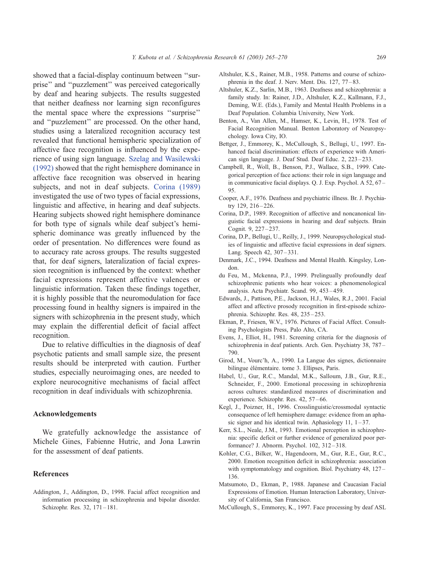<span id="page-4-0"></span>showed that a facial-display continuum between ''surprise'' and ''puzzlement'' was perceived categorically by deaf and hearing subjects. The results suggested that neither deafness nor learning sign reconfigures the mental space where the expressions ''surprise'' and ''puzzlement'' are processed. On the other hand, studies using a lateralized recognition accuracy test revealed that functional hemispheric specialization of affective face recognition is influenced by the experience of using sign language. [Szelag and Wasilewski](#page-5-0) (1992) showed that the right hemisphere dominance in affective face recognition was observed in hearing subjects, and not in deaf subjects. Corina (1989) investigated the use of two types of facial expressions, linguistic and affective, in hearing and deaf subjects. Hearing subjects showed right hemisphere dominance for both type of signals while deaf subject's hemispheric dominance was greatly influenced by the order of presentation. No differences were found as to accuracy rate across groups. The results suggested that, for deaf signers, lateralization of facial expression recognition is influenced by the context: whether facial expressions represent affective valences or linguistic information. Taken these findings together, it is highly possible that the neuromodulation for face processing found in healthy signers is impaired in the signers with schizophrenia in the present study, which may explain the differential deficit of facial affect recognition.

Due to relative difficulties in the diagnosis of deaf psychotic patients and small sample size, the present results should be interpreted with caution. Further studies, especially neuroimaging ones, are needed to explore neurocognitive mechanisms of facial affect recognition in deaf individuals with schizophrenia.

#### Acknowledgements

We gratefully acknowledge the assistance of Michele Gines, Fabienne Hutric, and Jona Lawrin for the assessment of deaf patients.

# References

Addington, J., Addington, D., 1998. Facial affect recognition and information processing in schizophrenia and bipolar disorder. Schizophr. Res. 32, 171-181.

- Altshuler, K.S., Rainer, M.B., 1958. Patterns and course of schizophrenia in the deaf. J. Nerv. Ment. Dis. 127, 77 – 83.
- Altshuler, K.Z., Sarlin, M.B., 1963. Deafness and schizophrenia: a family study. In: Rainer, J.D., Altshuler, K.Z., Kallmann, F.J., Deming, W.E. (Eds.), Family and Mental Health Problems in a Deaf Population. Columbia University, New York.
- Benton, A., Van Allen, M., Hamser, K., Levin, H., 1978. Test of Facial Recognition Manual. Benton Laboratory of Neuropsychology. Iowa City, IO.
- Bettger, J., Emmorey, K., McCullough, S., Bellugi, U., 1997. Enhanced facial discrimination: effects of experience with American sign language. J. Deaf Stud. Deaf Educ. 2, 223 – 233.
- Campbell, R., Woll, B., Benson, P.J., Wallace, S.B., 1999. Categorical perception of face actions: their role in sign language and in communicative facial displays. Q. J. Exp. Psychol. A 52, 67 – 95.
- Cooper, A.F., 1976. Deafness and psychiatric illness. Br. J. Psychiatry 129, 216 – 226.
- Corina, D.P., 1989. Recognition of affective and noncanonical linguistic facial expressions in hearing and deaf subjects. Brain Cognit. 9, 227 – 237.
- Corina, D.P., Bellugi, U., Reilly, J., 1999. Neuropsychological studies of linguistic and affective facial expressions in deaf signers. Lang. Speech 42, 307-331.
- Denmark, J.C., 1994. Deafness and Mental Health. Kingsley, London.
- du Feu, M., Mckenna, P.J., 1999. Prelingually profoundly deaf schizophrenic patients who hear voices: a phenomenological analysis. Acta Psychiatr. Scand. 99, 453 – 459.
- Edwards, J., Pattison, P.E., Jackson, H.J., Wales, R.J., 2001. Facial affect and affective prosody recognition in first-episode schizophrenia. Schizophr. Res. 48, 235 – 253.
- Ekman, P., Friesen, W.V., 1976. Pictures of Facial Affect. Consulting Psychologists Press, Palo Alto, CA.
- Evens, J., Elliot, H., 1981. Screening criteria for the diagnosis of schizophrenia in deaf patients. Arch. Gen. Psychiatry 38, 787 – 790.
- Girod, M., Vourc'h, A., 1990. La Langue des signes, dictionnaire bilingue élémentaire. tome 3. Ellipses, Paris.
- Habel, U., Gur, R.C., Mandal, M.K., Salloum, J.B., Gur, R.E., Schneider, F., 2000. Emotional processing in schizophrenia across cultures: standardized measures of discrimination and experience. Schizophr. Res. 42, 57 – 66.
- Kegl, J., Poizner, H., 1996. Crosslinguistic/crossmodal syntactic consequence of left hemisphere damage: evidence from an aphasic signer and his identical twin. Aphasiology 11,  $1-37$ .
- Kerr, S.L., Neale, J.M., 1993. Emotional perception in schizophrenia: specific deficit or further evidence of generalized poor performance? J. Abnorm. Psychol. 102, 312 – 318.
- Kohler, C.G., Bilker, W., Hagendoorn, M., Gur, R.E., Gur, R.C., 2000. Emotion recognition deficit in schizophrenia: association with symptomatology and cognition. Biol. Psychiatry 48, 127– 136.
- Matsumoto, D., Ekman, P., 1988. Japanese and Caucasian Facial Expressions of Emotion. Human Interaction Laboratory, University of California, San Francisco.
- McCullough, S., Emmorey, K., 1997. Face processing by deaf ASL